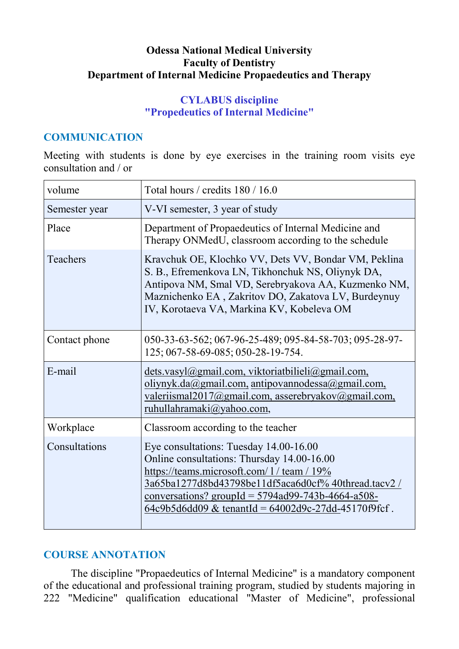#### **Odessa National Medical University Faculty of Dentistry Department of Internal Medicine Propaedeutics and Therapy**

# **CYLABUS discipline "Propedeutics of Internal Medicine"**

# **COMMUNICATION**

Meeting with students is done by eye exercises in the training room visits eye consultation and / or

| volume        | Total hours / credits $180/16.0$                                                                                                                                                                                                                                                                       |
|---------------|--------------------------------------------------------------------------------------------------------------------------------------------------------------------------------------------------------------------------------------------------------------------------------------------------------|
| Semester year | V-VI semester, 3 year of study                                                                                                                                                                                                                                                                         |
| Place         | Department of Propaedeutics of Internal Medicine and<br>Therapy ONMedU, classroom according to the schedule                                                                                                                                                                                            |
| Teachers      | Kravchuk OE, Klochko VV, Dets VV, Bondar VM, Peklina<br>S. B., Efremenkova LN, Tikhonchuk NS, Oliynyk DA,<br>Antipova NM, Smal VD, Serebryakova AA, Kuzmenko NM,<br>Maznichenko EA, Zakritov DO, Zakatova LV, Burdeynuy<br>IV, Korotaeva VA, Markina KV, Kobeleva OM                                   |
| Contact phone | 050-33-63-562; 067-96-25-489; 095-84-58-703; 095-28-97-<br>125; 067-58-69-085; 050-28-19-754.                                                                                                                                                                                                          |
| E-mail        | dets.vasyl@gmail.com, viktoriatbilieli@gmail.com,<br>$oliynyk.da@gmail.com$ , antipovannodessa $@gmail.com$ ,<br>valeriismal2017@gmail.com, asserebryakov@gmail.com,<br>ruhullahramaki@yahoo.com,                                                                                                      |
| Workplace     | Classroom according to the teacher                                                                                                                                                                                                                                                                     |
| Consultations | Eye consultations: Tuesday 14.00-16.00<br>Online consultations: Thursday 14.00-16.00<br>https://teams.microsoft.com/1/team/19%<br>3a65ba1277d8bd43798be11df5aca6d0cf%40thread.tacv2/<br>conversations? groupId = $5794$ ad99-743b-4664-a508-<br>64c9b5d6dd09 & tenantId = $64002$ d9c-27dd-45170f9fcf. |

#### **COURSE ANNOTATION**

The discipline "Propaedeutics of Internal Medicine" is a mandatory component of the educational and professional training program, studied by students majoring in 222 "Medicine" qualification educational "Master of Medicine", professional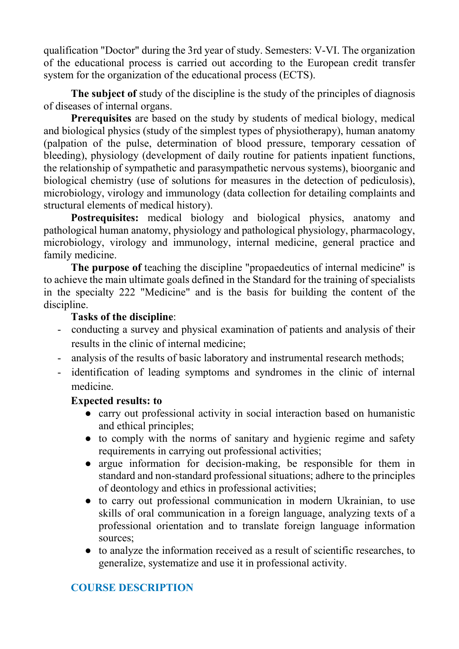qualification "Doctor" during the 3rd year of study. Semesters: V-VI. The organization of the educational process is carried out according to the European credit transfer system for the organization of the educational process (ECTS).

**The subject of** study of the discipline is the study of the principles of diagnosis of diseases of internal organs.

**Prerequisites** are based on the study by students of medical biology, medical and biological physics (study of the simplest types of physiotherapy), human anatomy (palpation of the pulse, determination of blood pressure, temporary cessation of bleeding), physiology (development of daily routine for patients inpatient functions, the relationship of sympathetic and parasympathetic nervous systems), bioorganic and biological chemistry (use of solutions for measures in the detection of pediculosis), microbiology, virology and immunology (data collection for detailing complaints and structural elements of medical history).

**Postrequisites:** medical biology and biological physics, anatomy and pathological human anatomy, physiology and pathological physiology, pharmacology, microbiology, virology and immunology, internal medicine, general practice and family medicine.

**The purpose of** teaching the discipline "propaedeutics of internal medicine" is to achieve the main ultimate goals defined in the Standard for the training of specialists in the specialty 222 "Medicine" and is the basis for building the content of the discipline.

# **Tasks of the discipline**:

- conducting a survey and physical examination of patients and analysis of their results in the clinic of internal medicine;
- analysis of the results of basic laboratory and instrumental research methods;
- identification of leading symptoms and syndromes in the clinic of internal medicine.

#### **Expected results: to**

- carry out professional activity in social interaction based on humanistic and ethical principles;
- to comply with the norms of sanitary and hygienic regime and safety requirements in carrying out professional activities;
- argue information for decision-making, be responsible for them in standard and non-standard professional situations; adhere to the principles of deontology and ethics in professional activities;
- to carry out professional communication in modern Ukrainian, to use skills of oral communication in a foreign language, analyzing texts of a professional orientation and to translate foreign language information sources;
- to analyze the information received as a result of scientific researches, to generalize, systematize and use it in professional activity.

# **COURSE DESCRIPTION**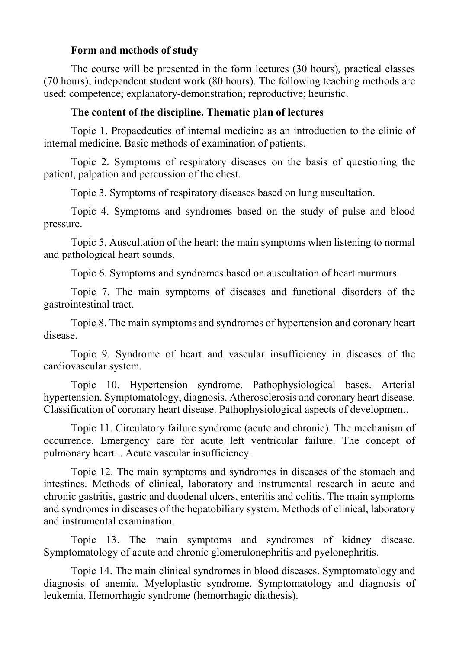#### **Form and methods of study**

The course will be presented in the form lectures (30 hours)*,* practical classes (70 hours), independent student work (80 hours). The following teaching methods are used: competence; explanatory-demonstration; reproductive; heuristic.

#### **The content of the discipline. Thematic plan of lectures**

Topic 1. Propaedeutics of internal medicine as an introduction to the clinic of internal medicine. Basic methods of examination of patients.

Topic 2. Symptoms of respiratory diseases on the basis of questioning the patient, palpation and percussion of the chest.

Topic 3. Symptoms of respiratory diseases based on lung auscultation.

Topic 4. Symptoms and syndromes based on the study of pulse and blood pressure.

Topic 5. Auscultation of the heart: the main symptoms when listening to normal and pathological heart sounds.

Topic 6. Symptoms and syndromes based on auscultation of heart murmurs.

Topic 7. The main symptoms of diseases and functional disorders of the gastrointestinal tract.

Topic 8. The main symptoms and syndromes of hypertension and coronary heart disease.

Topic 9. Syndrome of heart and vascular insufficiency in diseases of the cardiovascular system.

Topic 10. Hypertension syndrome. Pathophysiological bases. Arterial hypertension. Symptomatology, diagnosis. Atherosclerosis and coronary heart disease. Classification of coronary heart disease. Pathophysiological aspects of development.

Topic 11. Circulatory failure syndrome (acute and chronic). The mechanism of occurrence. Emergency care for acute left ventricular failure. The concept of pulmonary heart .. Acute vascular insufficiency.

Topic 12. The main symptoms and syndromes in diseases of the stomach and intestines. Methods of clinical, laboratory and instrumental research in acute and chronic gastritis, gastric and duodenal ulcers, enteritis and colitis. The main symptoms and syndromes in diseases of the hepatobiliary system. Methods of clinical, laboratory and instrumental examination.

Topic 13. The main symptoms and syndromes of kidney disease. Symptomatology of acute and chronic glomerulonephritis and pyelonephritis.

Topic 14. The main clinical syndromes in blood diseases. Symptomatology and diagnosis of anemia. Myeloplastic syndrome. Symptomatology and diagnosis of leukemia. Hemorrhagic syndrome (hemorrhagic diathesis).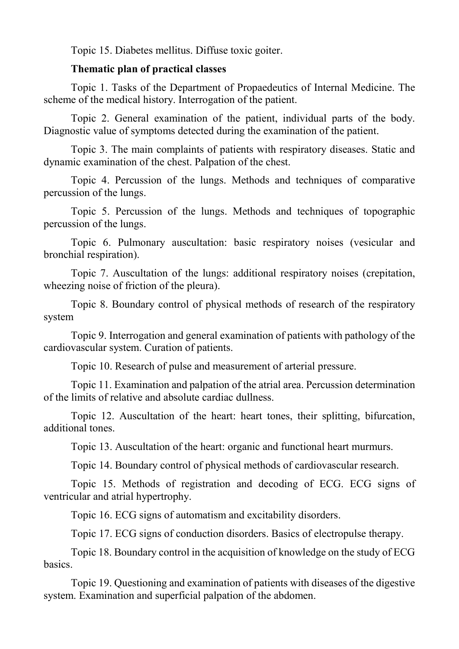Topic 15. Diabetes mellitus. Diffuse toxic goiter.

#### **Thematic plan of practical classes**

Topic 1. Tasks of the Department of Propaedeutics of Internal Medicine. The scheme of the medical history. Interrogation of the patient.

Topic 2. General examination of the patient, individual parts of the body. Diagnostic value of symptoms detected during the examination of the patient.

Topic 3. The main complaints of patients with respiratory diseases. Static and dynamic examination of the chest. Palpation of the chest.

Topic 4. Percussion of the lungs. Methods and techniques of comparative percussion of the lungs.

Topic 5. Percussion of the lungs. Methods and techniques of topographic percussion of the lungs.

Topic 6. Pulmonary auscultation: basic respiratory noises (vesicular and bronchial respiration).

Topic 7. Auscultation of the lungs: additional respiratory noises (crepitation, wheezing noise of friction of the pleura).

Topic 8. Boundary control of physical methods of research of the respiratory system

Topic 9. Interrogation and general examination of patients with pathology of the cardiovascular system. Curation of patients.

Topic 10. Research of pulse and measurement of arterial pressure.

Topic 11. Examination and palpation of the atrial area. Percussion determination of the limits of relative and absolute cardiac dullness.

Topic 12. Auscultation of the heart: heart tones, their splitting, bifurcation, additional tones.

Topic 13. Auscultation of the heart: organic and functional heart murmurs.

Topic 14. Boundary control of physical methods of cardiovascular research.

Topic 15. Methods of registration and decoding of ECG. ECG signs of ventricular and atrial hypertrophy.

Topic 16. ECG signs of automatism and excitability disorders.

Topic 17. ECG signs of conduction disorders. Basics of electropulse therapy.

Topic 18. Boundary control in the acquisition of knowledge on the study of ECG basics.

Topic 19. Questioning and examination of patients with diseases of the digestive system. Examination and superficial palpation of the abdomen.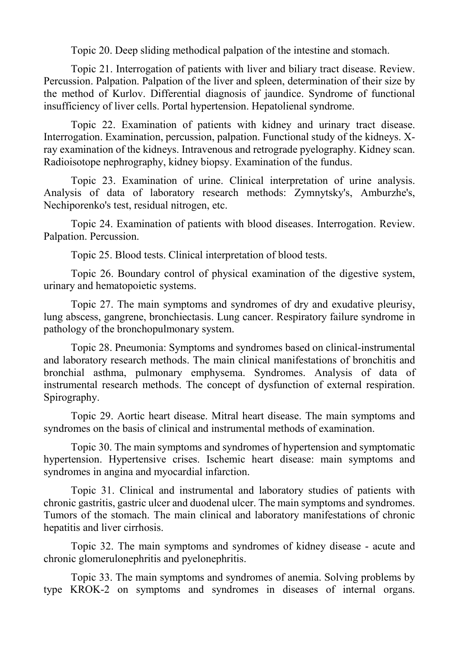Topic 20. Deep sliding methodical palpation of the intestine and stomach.

Topic 21. Interrogation of patients with liver and biliary tract disease. Review. Percussion. Palpation. Palpation of the liver and spleen, determination of their size by the method of Kurlov. Differential diagnosis of jaundice. Syndrome of functional insufficiency of liver cells. Portal hypertension. Hepatolienal syndrome.

Topic 22. Examination of patients with kidney and urinary tract disease. Interrogation. Examination, percussion, palpation. Functional study of the kidneys. Xray examination of the kidneys. Intravenous and retrograde pyelography. Kidney scan. Radioisotope nephrography, kidney biopsy. Examination of the fundus.

Topic 23. Examination of urine. Clinical interpretation of urine analysis. Analysis of data of laboratory research methods: Zymnytsky's, Amburzhe's, Nechiporenko's test, residual nitrogen, etc.

Topic 24. Examination of patients with blood diseases. Interrogation. Review. Palpation. Percussion.

Topic 25. Blood tests. Clinical interpretation of blood tests.

Topic 26. Boundary control of physical examination of the digestive system, urinary and hematopoietic systems.

Topic 27. The main symptoms and syndromes of dry and exudative pleurisy, lung abscess, gangrene, bronchiectasis. Lung cancer. Respiratory failure syndrome in pathology of the bronchopulmonary system.

Topic 28. Pneumonia: Symptoms and syndromes based on clinical-instrumental and laboratory research methods. The main clinical manifestations of bronchitis and bronchial asthma, pulmonary emphysema. Syndromes. Analysis of data of instrumental research methods. The concept of dysfunction of external respiration. Spirography.

Topic 29. Aortic heart disease. Mitral heart disease. The main symptoms and syndromes on the basis of clinical and instrumental methods of examination.

Topic 30. The main symptoms and syndromes of hypertension and symptomatic hypertension. Hypertensive crises. Ischemic heart disease: main symptoms and syndromes in angina and myocardial infarction.

Topic 31. Clinical and instrumental and laboratory studies of patients with chronic gastritis, gastric ulcer and duodenal ulcer. The main symptoms and syndromes. Tumors of the stomach. The main clinical and laboratory manifestations of chronic hepatitis and liver cirrhosis.

Topic 32. The main symptoms and syndromes of kidney disease - acute and chronic glomerulonephritis and pyelonephritis.

Topic 33. The main symptoms and syndromes of anemia. Solving problems by type KROK-2 on symptoms and syndromes in diseases of internal organs.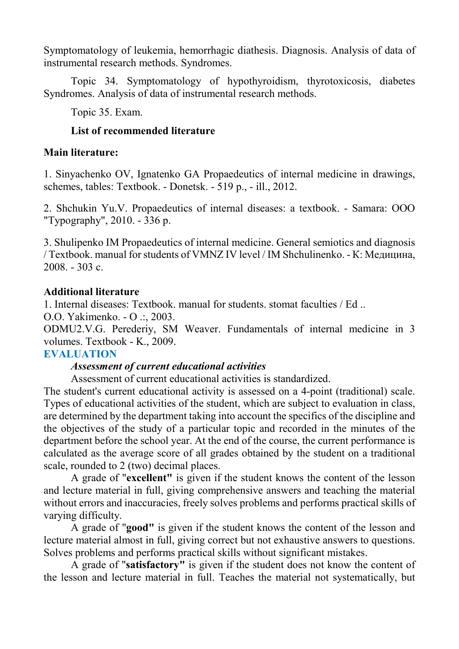Symptomatology of leukemia, hemorrhagic diathesis. Diagnosis. Analysis of data of instrumental research methods. Syndromes.

Topic 34. Symptomatology of hypothyroidism, thyrotoxicosis, diabetes Syndromes. Analysis of data of instrumental research methods.

Topic 35. Exam.

### **List of recommended literature**

### **Main literature:**

1. Sinyachenko OV, Ignatenko GA Propaedeutics of internal medicine in drawings, schemes, tables: Textbook. - Donetsk. - 519 p., - ill., 2012.

2. Shchukin Yu.V. Propaedeutics of internal diseases: a textbook. - Samara: OOO "Typography", 2010. - 336 p.

3. Shulipenko IM Propaedeutics of internal medicine. General semiotics and diagnosis / Textbook. manual for students of VMNZ IV level / IM Shchulinenko. - К: Медицина, 2008. - 303 с.

#### **Additional literature**

1. Internal diseases: Textbook. manual for students. stomat faculties / Ed .. О.О. Yakimenko. - O .:, 2003.

ODMU2.V.G. Perederiy, SM Weaver. Fundamentals of internal medicine in 3 volumes. Textbook - K., 2009.

#### **EVALUATION**

#### *Assessment of current educational activities*

Assessment of current educational activities is standardized.

The student's current educational activity is assessed on a 4-point (traditional) scale. Types of educational activities of the student, which are subject to evaluation in class, are determined by the department taking into account the specifics of the discipline and the objectives of the study of a particular topic and recorded in the minutes of the department before the school year. At the end of the course, the current performance is calculated as the average score of all grades obtained by the student on a traditional scale, rounded to 2 (two) decimal places.

A grade of "**excellent"** is given if the student knows the content of the lesson and lecture material in full, giving comprehensive answers and teaching the material without errors and inaccuracies, freely solves problems and performs practical skills of varying difficulty.

A grade of "**good"** is given if the student knows the content of the lesson and lecture material almost in full, giving correct but not exhaustive answers to questions. Solves problems and performs practical skills without significant mistakes.

A grade of "**satisfactory"** is given if the student does not know the content of the lesson and lecture material in full. Teaches the material not systematically, but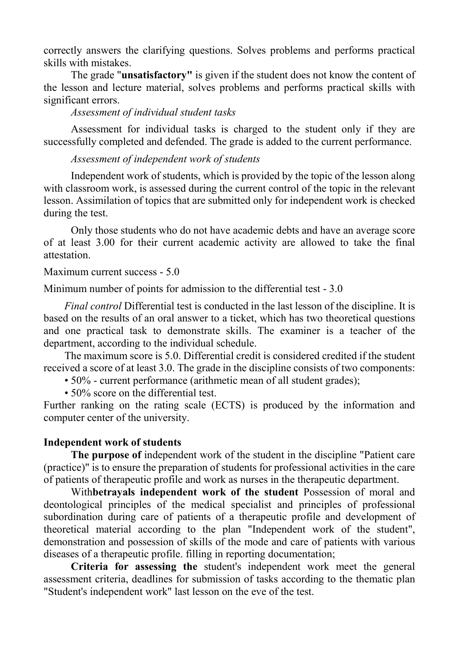correctly answers the clarifying questions. Solves problems and performs practical skills with mistakes.

The grade "**unsatisfactory"** is given if the student does not know the content of the lesson and lecture material, solves problems and performs practical skills with significant errors.

*Assessment of individual student tasks*

Assessment for individual tasks is charged to the student only if they are successfully completed and defended. The grade is added to the current performance.

#### *Assessment of independent work of students*

Independent work of students, which is provided by the topic of the lesson along with classroom work, is assessed during the current control of the topic in the relevant lesson. Assimilation of topics that are submitted only for independent work is checked during the test.

Only those students who do not have academic debts and have an average score of at least 3.00 for their current academic activity are allowed to take the final attestation.

Maximum current success - 5.0

Minimum number of points for admission to the differential test - 3.0

*Final control* Differential test is conducted in the last lesson of the discipline. It is based on the results of an oral answer to a ticket, which has two theoretical questions and one practical task to demonstrate skills. The examiner is a teacher of the department, according to the individual schedule.

The maximum score is 5.0. Differential credit is considered credited if the student received a score of at least 3.0. The grade in the discipline consists of two components:

• 50% - current performance (arithmetic mean of all student grades);

• 50% score on the differential test.

Further ranking on the rating scale (ECTS) is produced by the information and computer center of the university.

#### **Independent work of students**

**The purpose of** independent work of the student in the discipline "Patient care (practice)" is to ensure the preparation of students for professional activities in the care of patients of therapeutic profile and work as nurses in the therapeutic department.

With**betrayals independent work of the student** Possession of moral and deontological principles of the medical specialist and principles of professional subordination during care of patients of a therapeutic profile and development of theoretical material according to the plan "Independent work of the student", demonstration and possession of skills of the mode and care of patients with various diseases of a therapeutic profile. filling in reporting documentation;

**Criteria for assessing the** student's independent work meet the general assessment criteria, deadlines for submission of tasks according to the thematic plan "Student's independent work" last lesson on the eve of the test.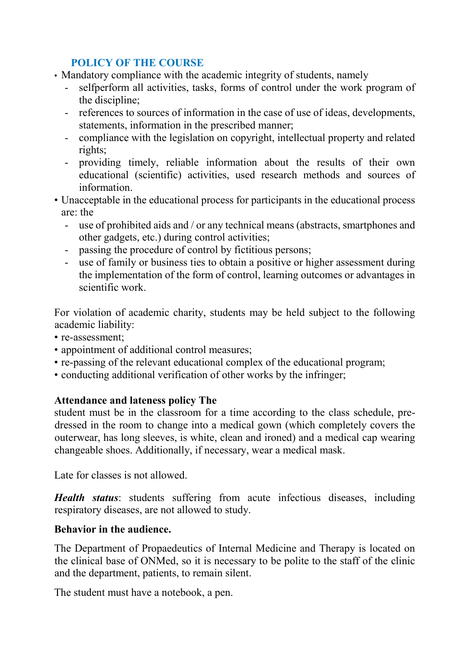# **POLICY OF THE COURSE**

- Mandatory compliance with the academic integrity of students, namely
	- selfperform all activities, tasks, forms of control under the work program of the discipline;
	- references to sources of information in the case of use of ideas, developments, statements, information in the prescribed manner;
	- compliance with the legislation on copyright, intellectual property and related rights;
	- providing timely, reliable information about the results of their own educational (scientific) activities, used research methods and sources of information.
- Unacceptable in the educational process for participants in the educational process are: the
	- use of prohibited aids and / or any technical means (abstracts, smartphones and other gadgets, etc.) during control activities;
	- passing the procedure of control by fictitious persons;
	- use of family or business ties to obtain a positive or higher assessment during the implementation of the form of control, learning outcomes or advantages in scientific work.

For violation of academic charity, students may be held subject to the following academic liability:

- re-assessment;
- appointment of additional control measures;
- re-passing of the relevant educational complex of the educational program;
- conducting additional verification of other works by the infringer;

#### **Attendance and lateness policy The**

student must be in the classroom for a time according to the class schedule, predressed in the room to change into a medical gown (which completely covers the outerwear, has long sleeves, is white, clean and ironed) and a medical cap wearing changeable shoes. Additionally, if necessary, wear a medical mask.

Late for classes is not allowed.

*Health status*: students suffering from acute infectious diseases, including respiratory diseases, are not allowed to study.

#### **Behavior in the audience.**

The Department of Propaedeutics of Internal Medicine and Therapy is located on the clinical base of ONMed, so it is necessary to be polite to the staff of the clinic and the department, patients, to remain silent.

The student must have a notebook, a pen.